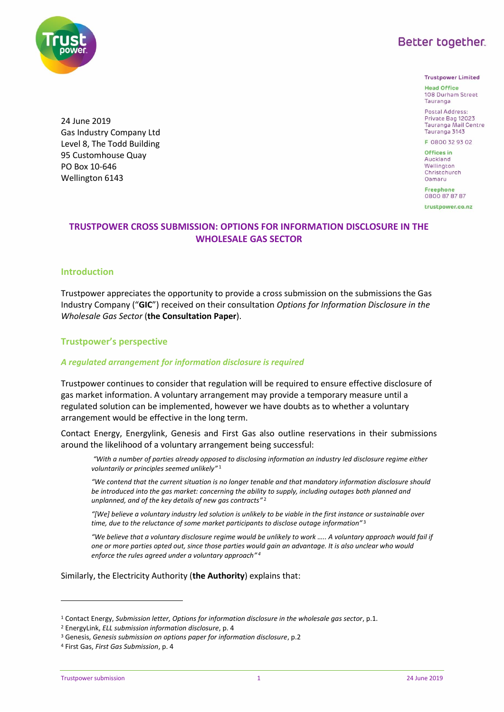**Better together.** 



**Trustpower Limited** 

**Head Office** 108 Durham Street Tauranga

Postal Address Private Bag 12023 Tauranga Mail Centre Tauranga 3143

F 0800 32 93 02

Offices in Auckland Wellington Christchurch Oamaru

**Freephone** 0800 87 87 87 trustpower.co.nz

# **TRUSTPOWER CROSS SUBMISSION: OPTIONS FOR INFORMATION DISCLOSURE IN THE WHOLESALE GAS SECTOR**

# **Introduction**

24 June 2019

PO Box 10-646 Wellington 6143

Gas Industry Company Ltd Level 8, The Todd Building 95 Customhouse Quay

Trustpower appreciates the opportunity to provide a cross submission on the submissions the Gas Industry Company ("**GIC**") received on their consultation *Options for Information Disclosure in the Wholesale Gas Sector* (**the Consultation Paper**).

# **Trustpower's perspective**

### *A regulated arrangement for information disclosure is required*

Trustpower continues to consider that regulation will be required to ensure effective disclosure of gas market information. A voluntary arrangement may provide a temporary measure until a regulated solution can be implemented, however we have doubts as to whether a voluntary arrangement would be effective in the long term.

Contact Energy, Energylink, Genesis and First Gas also outline reservations in their submissions around the likelihood of a voluntary arrangement being successful:

*"With a number of parties already opposed to disclosing information an industry led disclosure regime either voluntarily or principles seemed unlikely"* 1

*"We contend that the current situation is no longer tenable and that mandatory information disclosure should be introduced into the gas market: concerning the ability to supply, including outages both planned and unplanned, and of the key details of new gas contracts"* 2

*"[We] believe a voluntary industry led solution is unlikely to be viable in the first instance or sustainable over time, due to the reluctance of some market participants to disclose outage information"* 3

*"We believe that a voluntary disclosure regime would be unlikely to work ….. A voluntary approach would fail if one or more parties opted out, since those parties would gain an advantage. It is also unclear who would enforce the rules agreed under a voluntary approach" 4*

Similarly, the Electricity Authority (**the Authority**) explains that:

-

<sup>1</sup> Contact Energy, *Submission letter, Options for information disclosure in the wholesale gas sector*, p.1.

<sup>2</sup> EnergyLink, *ELL submission information disclosure*, p. 4

<sup>3</sup> Genesis, *Genesis submission on options paper for information disclosure*, p.2

<sup>4</sup> First Gas, *First Gas Submission*, p. 4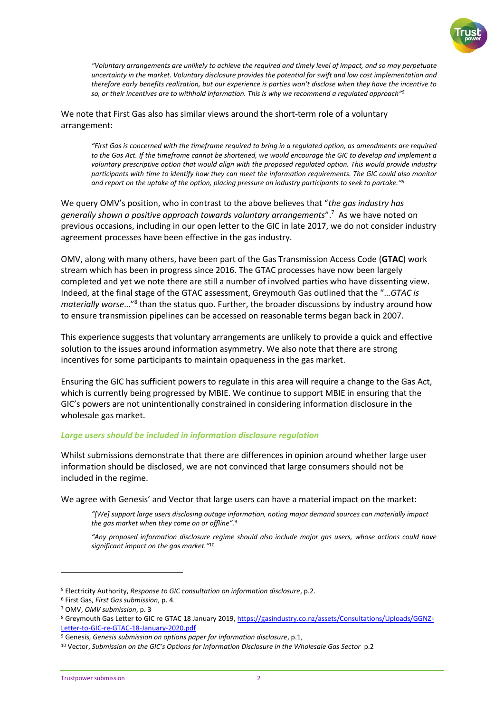

*"Voluntary arrangements are unlikely to achieve the required and timely level of impact, and so may perpetuate uncertainty in the market. Voluntary disclosure provides the potential for swift and low cost implementation and therefore early benefits realization, but our experience is parties won't disclose when they have the incentive to so, or their incentives are to withhold information. This is why we recommend a regulated approach" 5*

We note that First Gas also has similar views around the short-term role of a voluntary arrangement:

*"First Gas is concerned with the timeframe required to bring in a regulated option, as amendments are required to the Gas Act. If the timeframe cannot be shortened, we would encourage the GIC to develop and implement a voluntary prescriptive option that would align with the proposed regulated option. This would provide industry participants with time to identify how they can meet the information requirements. The GIC could also monitor and report on the uptake of the option, placing pressure on industry participants to seek to partake." 6*

We query OMV's position, who in contrast to the above believes that "*the gas industry has generally shown a positive approach towards voluntary arrangements*".<sup>7</sup> As we have noted on previous occasions, including in our open letter to the GIC in late 2017, we do not consider industry agreement processes have been effective in the gas industry.

OMV, along with many others, have been part of the Gas Transmission Access Code (**GTAC**) work stream which has been in progress since 2016. The GTAC processes have now been largely completed and yet we note there are still a number of involved parties who have dissenting view. Indeed, at the final stage of the GTAC assessment, Greymouth Gas outlined that the "…*GTAC is*  materially worse...<sup>"8</sup> than the status quo. Further, the broader discussions by industry around how to ensure transmission pipelines can be accessed on reasonable terms began back in 2007.

This experience suggests that voluntary arrangements are unlikely to provide a quick and effective solution to the issues around information asymmetry. We also note that there are strong incentives for some participants to maintain opaqueness in the gas market.

Ensuring the GIC has sufficient powers to regulate in this area will require a change to the Gas Act, which is currently being progressed by MBIE. We continue to support MBIE in ensuring that the GIC's powers are not unintentionally constrained in considering information disclosure in the wholesale gas market.

#### *Large users should be included in information disclosure regulation*

Whilst submissions demonstrate that there are differences in opinion around whether large user information should be disclosed, we are not convinced that large consumers should not be included in the regime.

We agree with Genesis' and Vector that large users can have a material impact on the market:

*"[We] support large users disclosing outage information, noting major demand sources can materially impact the gas market when they come on or offline".* 9

*"Any proposed information disclosure regime should also include major gas users, whose actions could have significant impact on the gas market."* 10

-

<sup>5</sup> Electricity Authority, *Response to GIC consultation on information disclosure*, p.2.

<sup>6</sup> First Gas, *First Gas submission*, p. 4.

<sup>7</sup> OMV, *OMV submission*, p. 3

<sup>8</sup> Greymouth Gas Letter to GIC re GTAC 18 January 2019[, https://gasindustry.co.nz/assets/Consultations/Uploads/GGNZ-](https://gasindustry.co.nz/assets/Consultations/Uploads/GGNZ-Letter-to-GIC-re-GTAC-18-January-2020.pdf)[Letter-to-GIC-re-GTAC-18-January-2020.pdf](https://gasindustry.co.nz/assets/Consultations/Uploads/GGNZ-Letter-to-GIC-re-GTAC-18-January-2020.pdf)

<sup>9</sup> Genesis, *Genesis submission on options paper for information disclosure*, p.1,

<sup>&</sup>lt;sup>10</sup> Vector, Submission on the GIC's Options for Information Disclosure in the Wholesale Gas Sector p.2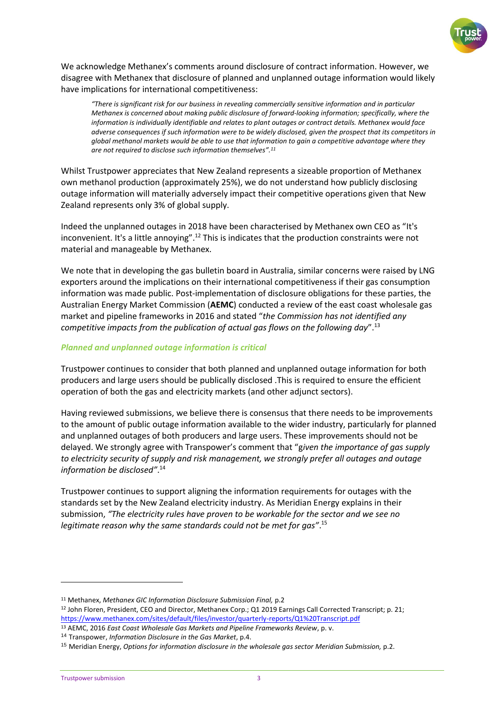

We acknowledge Methanex's comments around disclosure of contract information. However, we disagree with Methanex that disclosure of planned and unplanned outage information would likely have implications for international competitiveness:

*"There is significant risk for our business in revealing commercially sensitive information and in particular Methanex is concerned about making public disclosure of forward‐looking information; specifically, where the information is individually identifiable and relates to plant outages or contract details. Methanex would face adverse consequences if such information were to be widely disclosed, given the prospect that its competitors in global methanol markets would be able to use that information to gain a competitive advantage where they are not required to disclose such information themselves". 11*

Whilst Trustpower appreciates that New Zealand represents a sizeable proportion of Methanex own methanol production (approximately 25%), we do not understand how publicly disclosing outage information will materially adversely impact their competitive operations given that New Zealand represents only 3% of global supply.

Indeed the unplanned outages in 2018 have been characterised by Methanex own CEO as "It's inconvenient. It's a little annoying".<sup>12</sup> This is indicates that the production constraints were not material and manageable by Methanex.

We note that in developing the gas bulletin board in Australia, similar concerns were raised by LNG exporters around the implications on their international competitiveness if their gas consumption information was made public. Post-implementation of disclosure obligations for these parties, the Australian Energy Market Commission (**AEMC**) conducted a review of the east coast wholesale gas market and pipeline frameworks in 2016 and stated "*the Commission has not identified any competitive impacts from the publication of actual gas flows on the following day*".<sup>13</sup>

# *Planned and unplanned outage information is critical*

Trustpower continues to consider that both planned and unplanned outage information for both producers and large users should be publically disclosed .This is required to ensure the efficient operation of both the gas and electricity markets (and other adjunct sectors).

Having reviewed submissions, we believe there is consensus that there needs to be improvements to the amount of public outage information available to the wider industry, particularly for planned and unplanned outages of both producers and large users. These improvements should not be delayed. We strongly agree with Transpower's comment that "g*iven the importance of gas supply to electricity security of supply and risk management, we strongly prefer all outages and outage information be disclosed"*. 14

Trustpower continues to support aligning the information requirements for outages with the standards set by the New Zealand electricity industry. As Meridian Energy explains in their submission, *"The electricity rules have proven to be workable for the sector and we see no legitimate reason why the same standards could not be met for gas"*. 15

1

<sup>11</sup> Methanex, *Methanex GIC Information Disclosure Submission Final,* p.2

<sup>12</sup> John Floren, President, CEO and Director, Methanex Corp.; Q1 2019 Earnings Call Corrected Transcript; p. 21; <https://www.methanex.com/sites/default/files/investor/quarterly-reports/Q1%20Transcript.pdf>

<sup>13</sup> AEMC, 2016 *East Coast Wholesale Gas Markets and Pipeline Frameworks Review*, p. v.

<sup>14</sup> Transpower, *Information Disclosure in the Gas Market*, p.4.

<sup>15</sup> Meridian Energy, *Options for information disclosure in the wholesale gas sector Meridian Submission,* p.2.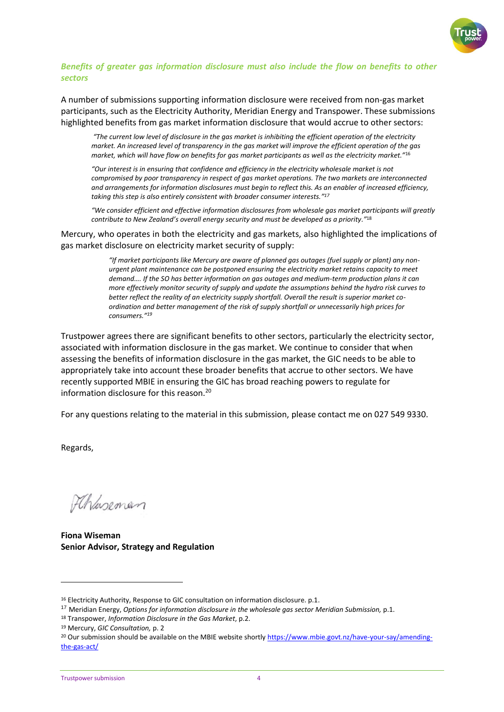

# *Benefits of greater gas information disclosure must also include the flow on benefits to other sectors*

A number of submissions supporting information disclosure were received from non-gas market participants, such as the Electricity Authority, Meridian Energy and Transpower. These submissions highlighted benefits from gas market information disclosure that would accrue to other sectors:

*"The current low level of disclosure in the gas market is inhibiting the efficient operation of the electricity market. An increased level of transparency in the gas market will improve the efficient operation of the gas market, which will have flow on benefits for gas market participants as well as the electricity market."*<sup>16</sup>

*"Our interest is in ensuring that confidence and efficiency in the electricity wholesale market is not compromised by poor transparency in respect of gas market operations. The two markets are interconnected and arrangements for information disclosures must begin to reflect this. As an enabler of increased efficiency, taking this step is also entirely consistent with broader consumer interests." 17*

*"We consider efficient and effective information disclosures from wholesale gas market participants will greatly contribute to New Zealand's overall energy security and must be developed as a priority."*<sup>18</sup>

Mercury, who operates in both the electricity and gas markets, also highlighted the implications of gas market disclosure on electricity market security of supply:

> *"If market participants like Mercury are aware of planned gas outages (fuel supply or plant) any nonurgent plant maintenance can be postponed ensuring the electricity market retains capacity to meet demand…. If the SO has better information on gas outages and medium-term production plans it can more effectively monitor security of supply and update the assumptions behind the hydro risk curves to better reflect the reality of an electricity supply shortfall. Overall the result is superior market coordination and better management of the risk of supply shortfall or unnecessarily high prices for consumers." 19*

Trustpower agrees there are significant benefits to other sectors, particularly the electricity sector, associated with information disclosure in the gas market. We continue to consider that when assessing the benefits of information disclosure in the gas market, the GIC needs to be able to appropriately take into account these broader benefits that accrue to other sectors. We have recently supported MBIE in ensuring the GIC has broad reaching powers to regulate for information disclosure for this reason.<sup>20</sup>

For any questions relating to the material in this submission, please contact me on 027 549 9330.

Regards,

1

FChaseman

**Fiona Wiseman Senior Advisor, Strategy and Regulation**

<sup>&</sup>lt;sup>16</sup> Electricity Authority, Response to GIC consultation on information disclosure. p.1.

<sup>17</sup> Meridian Energy, *Options for information disclosure in the wholesale gas sector Meridian Submission,* p.1.

<sup>18</sup> Transpower, *Information Disclosure in the Gas Market*, p.2.

<sup>19</sup> Mercury, *GIC Consultation,* p. 2

<sup>&</sup>lt;sup>20</sup> Our submission should be available on the MBIE website shortly [https://www.mbie.govt.nz/have-your-say/amending](https://www.mbie.govt.nz/have-your-say/amending-the-gas-act/)[the-gas-act/](https://www.mbie.govt.nz/have-your-say/amending-the-gas-act/)